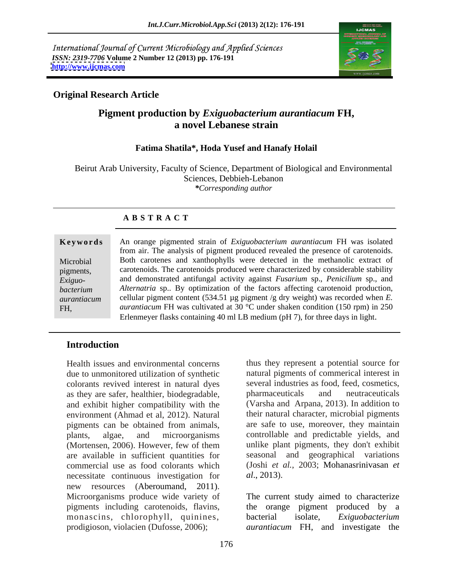International Journal of Current Microbiology and Applied Sciences *ISSN: 2319-7706* **Volume 2 Number 12 (2013) pp. 176-191 <http://www.ijcmas.com>**



## **Original Research Article**

# **Pigment production by** *Exiguobacterium aurantiacum* **FH, a novel Lebanese strain**

## **Fatima Shatila\*, Hoda Yusef and Hanafy Holail**

Beirut Arab University, Faculty of Science, Department of Biological and Environmental Sciences, Debbieh-Lebanon *\*Corresponding author* 

## **A B S T R A C T**

### **Ke ywo rds** An orange pigmented strain of *Exiguobacterium aurantiacum* FH was isolated Microbial Both carotenes and xanthophylls were detected in the methanolic extract of pigments, carotenoids. The carotenoids produced were characterized by considerable stability *Exiguo-* and demonstrated antifungal activity against *Fusarium* sp., *Penicilium* sp., and *bacterium Alternatria* sp.. By optimization of the factors affecting carotenoid production, *aurantiacum* cellular pigment content (534.51 µg pigment /g dry weight) was recorded when *E.*  FH, *aurantiacum* FH was cultivated at 30 °C under shaken condition (150 rpm) in 250 from air. The analysis of pigment produced revealed the presence of carotenoids. Erlenmeyer flasks containing 40 ml LB medium (pH 7), for three days in light.

## **Introduction**

Health issues and environmental concerns due to unmonitored utilization of synthetic colorants revived interest in natural dyes as they are safer, healthier, biodegradable, and exhibit higher compatibility with the environment (Ahmad et al, 2012). Natural pigments can be obtained from animals, plants, algae, and microorganisms controllable and predictable yields, and (Mortensen, 2006). However, few of them are available in sufficient quantities for commercial use as food colorants which necessitate continuous investigation for *al.*, 2013). new resources (Aberoumand, 2011).<br>Microorganisms produce wide variety of The current study aimed to characterize pigments including carotenoids, flavins, monascins, chlorophyll, quinines, bacterial isolate,

thus they represent a potential source for natural pigments of commerical interest in several industries as food, feed, cosmetics, pharmaceuticals and neutraceuticals (Varsha and Arpana, 2013). In addition to their natural character, microbial pigments are safe to use, moreover, they maintain unlike plant pigments, they don't exhibit geographical variations (Joshi *et al.*, 2003; Mohanasrinivasan *et al*., 2013).

prodigioson, violacien (Dufosse, 2006); *aurantiacum* FH, and investigate the The current study aimed to characterize the orange pigment produced by a Exiguobacterium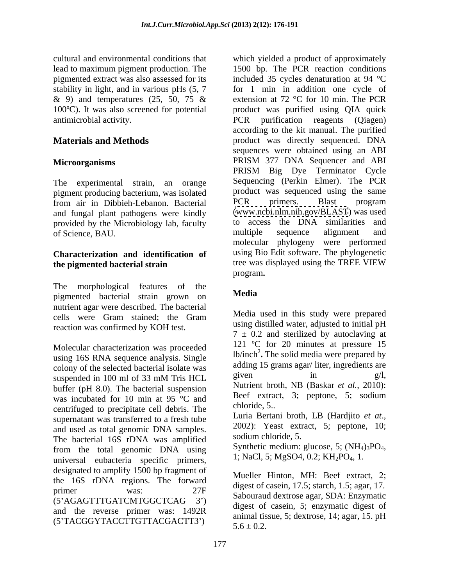lead to maximum pigment production. The

The experimental strain, an orange pigment producing bacterium, was isolated product was sequenced using the same<br>from air in Dibbieh-Lebanon Bacterial PCR primers. Blast program and fungal plant pathogens were kindly provided by the Microbiology lab, faculty to access the DNA similarities and of Science BAU of Science, BAU.

The morphological features of the the set of the set of the set of the set of the set of the set of the set of the set of the set of the set of the set of the set of the set of the set of the set of the set of the set of t pigmented bacterial strain grown on Media nutrient agar were described. The bacterial cells were Gram stained; the Gram reaction was confirmed by KOH test.

Molecular characterization was proceeded using 16S RNA sequence analysis. Single colony of the selected bacterial isolate was adding 15 grams agar/liter, ingredients are expressed in 100 ml of 22 mM. Trice LIGI given in  $g/I$ . suspended in 100 ml of 33 mM Tris HCL  $\frac{\text{given}}{\text{given}}$  in  $\frac{\text{g}}{\text{Then}}$ buffer (pH 8.0). The bacterial suspension was incubated for 10 min at 95  $\degree$ C and Beet extraction contributed to approximate call debris. The chloride, 5. centrifuged to precipitate cell debris. The<br>supernation was transferred to a fresh tube<br>Luria Bertani broth, LB (Hardjito *et at.*, supernatant was transferred to a fresh tube<br>and used as total genomic DNA samples<br> $2002$ : Yeast extract, 5; peptone, 10; and used as total genomic DNA samples. The bacterial 16S rDNA was amplified<br>from the total generalism DNA using Synthetic medium: glucose, 5;  $(NH_4)_3PO_4$ , from the total genomic DNA using<br>universal expecterial specific primers  $1$ ; NaCl, 5; MgSO4, 0.2; KH<sub>2</sub>PO<sub>4</sub>, 1. universal eubacteria specific primers, designated to amplify 1500 bp fragment of the 16S rDNA regions. The forward primer was:  $27F$  ugost of case in, 17.5, staten, 1.5, agai, 17. (5 AGAGTTTGATCMTGGCTCAG 3 ) and the reverse primer was: 1492R (5 TACGGYTACCTTGTTACGACTT3 )

cultural and environmental conditions that which yielded a product of approximately pigmented extract was also assessed for its included 35 cycles denaturation at 94 °C stability in light, and in various pHs (5, 7 for 1 min in addition one cycle of & 9) and temperatures (25, 50, 75 & extension at 72 °C for 10 min. The PCR 100ºC). It was also screened for potential product was purified using QIA quick antimicrobial activity. PCR purification reagents (Qiagen) **Materials and Methods** product was directly sequenced. DNA **Microorganisms** PRISM 377 DNA Sequencer and ABI from air in Dibbieh-Lebanon. Bacterial **Characterization and identification of** using Bio Edit software. The phylogenetic **the pigmented bacterial strain** tree was displayed using the TREE VIEW program. 1500 bp. The PCR reaction conditions extension at 72 °C for 10 min. The PCR according to the kit manual. The purified sequences were obtained using an ABI PRISM 377 DNA Sequencer and ABI PRISM Big Dye Terminator Cycle Sequencing (Perkin Elmer). The PCR product was sequenced using the same PCR primers. Blast program [\(www.ncbi.nlm.nih.gov/BLAST](http://www.ncbi.nlm.nih.gov/BLAST)) was used to access the DNA similarities and multiple sequence alignment and molecular phylogeny were performed tree was displayed using the TREE VIEW program**.**

## **Media**

Media used in this study were prepared using distilled water, adjusted to initial pH  $7 \pm 0.2$  and sterilized by autoclaving at 121 ºC for 20 minutes at pressure 15 lb/inch<sup>2</sup>. The solid media were prepared by adding 15 grams agar/ liter, ingredients are given in  $g/l$ , Nutrient broth, NB (Baskar *et al.*, 2010): Beef extract, 3; peptone, 5; sodium chloride, 5..

Luria Bertani broth, LB (Hardjito *et at*., 2002): Yeast extract, 5; peptone, 10; sodium chloride, 5.

Synthetic medium: glucose, 5; (NH<sub>4</sub>)<sub>3</sub>PO<sub>4</sub>,<br>1; NaCl, 5; MgSO4, 0.2; KH<sub>2</sub>PO<sub>4</sub>, 1.

Mueller Hinton, MH: Beef extract, 2; digest of casein, 17.5; starch, 1.5; agar, 17. Sabouraud dextrose agar, SDA: Enzymatic digest of casein, 5; enzymatic digest of animal tissue, 5; dextrose, 14; agar, 15. pH  $5.6 + 0.2$ .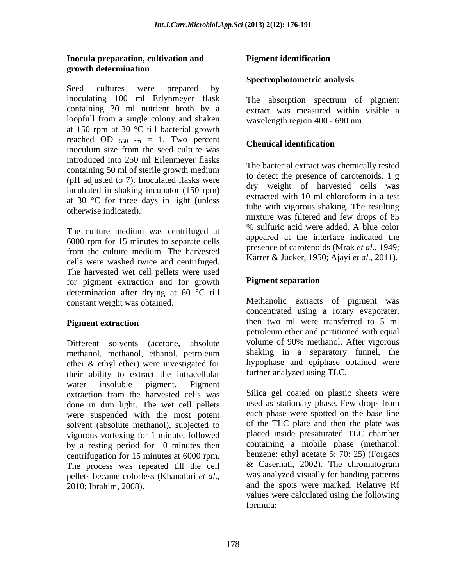### **Inocula preparation, cultivation and growth determination**

Seed cultures were prepared by inoculating 100 ml Erlynmeyer flask containing 30 ml nutrient broth by a extract was measured within visible a loopfull from a single colony and shaken at 150 rpm at 30 °C till bacterial growth reached OD  $_{550 \text{ nm}} = 1$ . Two percent Chemical identification inoculum size from the seed culture was introduced into 250 ml Erlenmeyer flasks containing 50 ml of sterile growth medium (pH adjusted to 7). Inoculated flasks were incubated in shaking incubator (150 rpm) at 30 °C for three days in light (unless

The culture medium was centrifuged at 6000 rpm for 15 minutes to separate cells from the culture medium. The harvested cells were washed twice and centrifuged. The harvested wet cell pellets were used for pigment extraction and for growth determination after drying at 60 °C till

methanol, methanol, ethanol, petroleum ether & ethyl ether) were investigated for their ability to extract the intracellular water insoluble pigment. Pigment extraction from the harvested cells was done in dim light. The wet cell pellets were suspended with the most potent solvent (absolute methanol), subjected to vigorous vortexing for 1 minute, followed by a resting period for 10 minutes then centrifugation for 15 minutes at 6000 rpm.<br>
The process was repeated till the cell  $\&$  Caserhati, 2002). The chromatogram The process was repeated till the cell pellets became colorless (Khanafari *et al*., Investment in the term is the state of the state of the state of the state of the state of the state of the state of the state of the state of the state of the state of the state of the state of the state of the state of t

## **Spectrophotometric analysis**

The absorption spectrum of pigment wavelength region 400 - 690 nm.

## **Chemical identification**

otherwise indicated). The bacterial extract was chemically tested to detect the presence of carotenoids. 1 g dry weight of harvested cells was extracted with 10 ml chloroform in a test tube with vigorous shaking. The resulting mixture was filtered and few drops of 85 % sulfuric acid were added. A blue color appeared at the interface indicated the presence of carotenoids (Mrak *et al*., 1949; Karrer & Jucker, 1950; Ajayi *et al.*, 2011).

## **Pigment separation**

constant weight was obtained. Methanolic extracts of pigment was **Pigment extraction then** two ml were transferred to 5 ml Different solvents (acetone, absolute volume of 90% methanol. After vigorous concentrated using a rotary evaporater, petroleum ether and partitioned with equal shaking in a separatory funnel, the hypophase and epiphase obtained were further analyzed using TLC.

> Silica gel coated on plastic sheets were used as stationary phase. Few drops from each phase were spotted on the base line of the TLC plate and then the plate was placed inside presaturated TLC chamber containing a mobile phase (methanol: benzene: ethyl acetate 5: 70: 25) (Forgacs & Caserhati, 2002). The chromatogram was analyzed visually for banding patterns and the spots were marked. Relative Rf values were calculated using the following formula: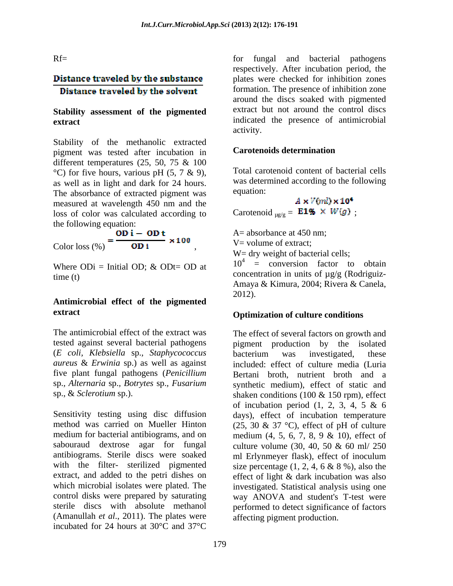# Distance traveled by the substance Distance traveled by the solvent

# **Stability assessment of the pigmented**

Stability of the methanolic extracted<br>numeral variation is **Carotenoids determination** pigment was tested after incubation in different temperatures (25, 50, 75 & 100  $\rm{°C}$ ) for five hours, various pH (5, 7 & 9), as well as in light and dark for 24 hours. Was determined a was determined absorbance of extracted nigment was equation: The absorbance of extracted pigment was equation:<br>measured at wavelength 450 nm and the  $A \times V$   $M \times 10^4$ measured at wavelength 450 nm and the loss of color was calculated according to

the following equation:<br>
Color loss (%) =  $\frac{OD i - OD t}{OD i} \times 100$ 

# **Antimicrobial effect of the pigmented extract Optimization of culture conditions**

The antimicrobial effect of the extract was The effect of several factors on growth and (*E coli, Klebsiella* sp.*, Staphycococcus*

Sensitivity testing using disc diffusion days), effect of incubation temperature method was carried on Mueller Hinton (25, 30 & 37 °C), effect of pH of culture medium for bacterial antibiograms, and on medium (4, 5, 6, 7, 8, 9 & 10), effect of sabouraud dextrose agar for fungal culture volume (30, 40, 50 & 60 ml/ 250 antibiograms. Sterile discs were soaked with the filter- sterilized pigmented size percentage  $(1, 2, 4, 6 \& 8 \%)$ , also the extract, and added to the petri dishes on effect of light & dark incubation was also which microbial isolates were plated. The investigated. Statistical analysis using one control disks were prepared by saturating way ANOVA and student's T-test were sterile discs with absolute methanol performed to detect significance of factors (Amanullah *et al*., 2011). The plates were incubated for 24 hours at 30°C and 37°C

Rf= for fungal and bacterial pathogens **extract extract extract indicated** the presence of antimicrobial respectively. After incubation period, the plates were checked for inhibition zones formation. The presence of inhibition zone around the discs soaked with pigmented extract but not around the control discs activity.

## **Carotenoids determination**

Total carotenoid content of bacterial cells was determined according to the following equation: equation:

Carotenoid  $_{\text{ug/g}} =$  **E1%**  $\times$  *W*(*g*);

Color loss (%) **OD i**  $W = \text{volume of extract;}$ <br>  $W = \text{dyn weight of bacterial cells;}$ <br>
Where ODi = Initial OD; & ODt= OD at  $10^4$  = conversion factor to obtain time (t)  $\qquad \qquad \text{concentration in units of } \mu \text{g/g (Rodriguiz-}$ A= absorbance at 450 nm; V= volume of extract; W = dry weight of bacterial cells:  $10^4$  = conversion factor to obtain Amaya & Kimura, 2004; Rivera & Canela, 2012).

tested against several bacterial pathogens pigment production by the isolated *aureus* & *Erwinia* sp.) as well as against included: effect of culture media (Luria five plant fungal pathogens (*Penicillium*  Bertani broth, nutrient broth and a sp.*, Alternaria* sp.*, Botrytes* sp.*, Fusarium* synthetic medium), effect of static and sp., & *Sclerotium* sp.). shaken conditions (100 & 150 rpm), effect bacterium was investigated, these of incubation period (1, 2, 3, 4, 5 & 6 ml Erlynmeyer flask), effect of inoculum affecting pigment production.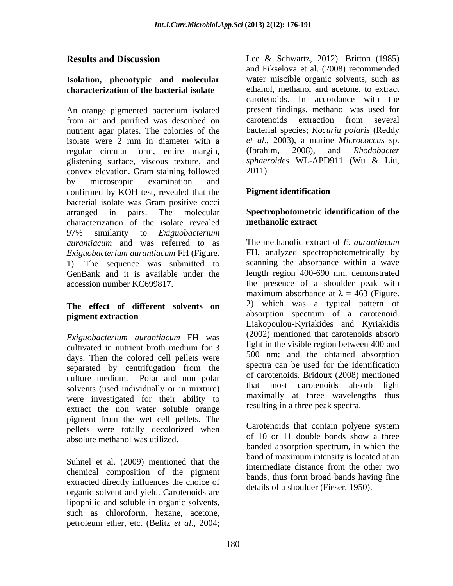## **Isolation, phenotypic and molecular characterization of the bacterial isolate**

An orange pigmented bacterium isolated present findings, methanol was used for from air and purified was described on nutrient agar plates. The colonies of the isolate were  $\overline{2}$  mm in diameter with a *et al.*, 2003), a marine *Micrococcus* sp.<br>regular circular form entire margin (Ibrahim. 2008), and *Rhodobacter* regular circular form, entire margin, glistening surface, viscous texture, and convex elevation. Gram staining followed by microscopic examination and confirmed by KOH test, revealed that the **Pigment identification** bacterial isolate was Gram positive cocci arranged in pairs. The molecular **Spectrophotometric identification of the** characterization of the isolate revealed methanolic extract 97% similarity to *Exiguobacterium aurantiacum* and was referred to as The methanolic extract of E. *aurantiacum* 1). The sequence was submitted to<br>GenBank and it is available under the

# **The effect of different solvents on**

*Exiguobacterium aurantiacum* FH was days. Then the colored cell pellets were separated by centrifugation from the solvents (used individually or in mixture) that most carotenoids absorb light were investigated for their ability to extract the non water soluble orange pigment from the wet cell pellets. The<br>neglets were totally decelorized when Carotenoids that contain polyene system pellets were totally decolorized when Carotenoids that contain polyene system<br>of 10 or 11 double bonds show a three absolute methanol was utilized.

Suhnel et al. (2009) mentioned that the intermediate distance from the other two chemical composition of the pigment<br>bands, thus form broad bands having fine extracted directly influences the choice of organic solvent and yield. Carotenoids are lipophilic and soluble in organic solvents, such as chloroform, hexane, acetone, petroleum ether, etc. (Belitz *et al*., 2004;

**Results and Discussion** Lee & Schwartz, 2012). Britton (1985) and Fikselova et al. (2008) recommended water miscible organic solvents, such as ethanol, methanol and acetone, to extract carotenoids. In accordance with the present findings, methanol was used for carotenoids extraction from several bacterial species; *Kocuria polaris* (Reddy *et al*., 2003), a marine *Micrococcus* sp. (Ibrahim, 2008), and *Rhodobacter sphaeroides* WL-APD911 (Wu & Liu, 2011).

# **Pigment identification**

# **methanolic extract**

*Exiguobacterium aurantiacum* FH (Figure. FH, analyzed spectrophotometrically by GenBank and it is available under the length region 400-690 nm, demonstrated accession number KC699817. the presence of a shoulder peak with **pigment extraction** absorption spectrum of a carotenoid. cultivated in nutrient broth medium for  $3 \times 1900$  m the visible region between 400 and culture medium. Polar and non polar  $\frac{01}{2}$  carolenoids. Bridoux (2008) mentioned The methanolic extract of *E. aurantiacum* scanning the absorbance within a wave maximum absorbance at  $\lambda = 463$  (Figure. 2) which was a typical pattern of absorption spectrum of a carotenoid. Liakopoulou-Kyriakides and Kyriakidis (2002) mentioned that carotenoids absorb light in the visible region between 400 and 500 nm; and the obtained absorption spectra can be used for the identification of carotenoids. Bridoux (2008) mentioned that most carotenoids absorb maximally at three wavelengths thus resulting in a three peak spectra.

> Carotenoids that contain polyene system of 10 or 11 double bonds show a three banded absorption spectrum, in which the band of maximum intensity is located at an intermediate distance from the other two bands, thus form broad bands having fine details of a shoulder (Fieser, 1950).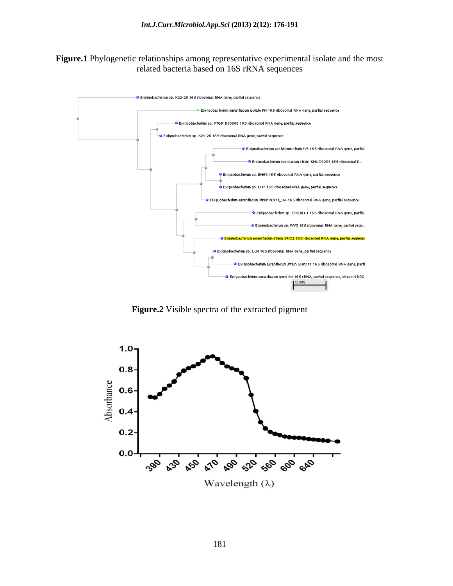### **Figure.1** Phylogenetic relationships among representative experimental isolate and the most related bacteria based on 16S rRNA sequences



**Figure.2** Visible spectra of the extracted pigment

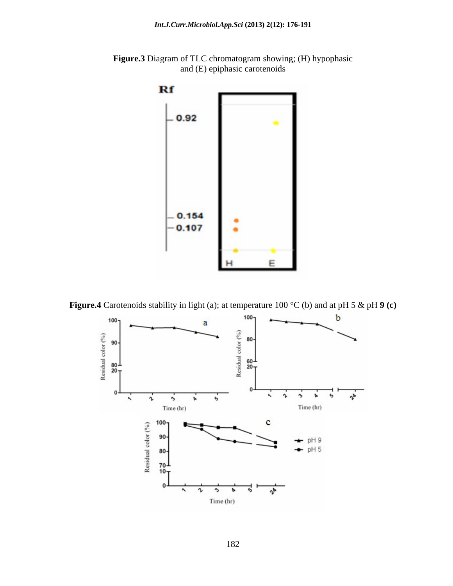

**Figure.3** Diagram of TLC chromatogram showing; (H) hypophasic and (E) epiphasic carotenoids



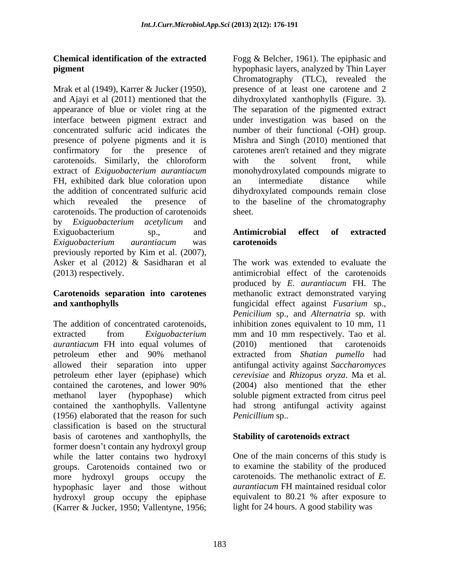Mrak et al (1949), Karrer & Jucker (1950), presence of at least one carotene and 2 and Ajayi et al (2011) mentioned that the dihydroxylated xanthophylls (Figure. 3). appearance of blue or violet ring at the The separation of the pigmented extract interface between pigment extract and under investigation was based on the concentrated sulfuric acid indicates the number of their functional (-OH) group. presence of polyene pigments and it is Mishra and Singh (2010) mentioned that confirmatory for the presence of carotenes aren't retained and they migrate carotenoids. Similarly, the chloroform extract of *Exiguobacterium aurantiacum* FH, exhibited dark blue coloration upon an intermediate distance while the addition of concentrated sulfuric acid dihydroxylated compounds remain close which revealed the presence of to the baseline of the chromatography carotenoids. The production of carotenoids by *Exiguobacterium acetylicum* and Exiguobacterium sp., and **Antimicrobial effect of extracted** *Exiguobacterium aurantiacum* was previously reported by Kim et al. (2007), Asker et al (2012) & Sasidharan et al (2013) respectively. antimicrobial effect of the carotenoids

The addition of concentrated carotenoids, inhibition zones equivalent to 10 mm, 11 extracted from *Exiguobacterium*  mm and 10 mm respectively. Tao et al. *aurantiacum* FH into equal volumes of (2010) mentioned that carotenoids petroleum ether and 90% methanol allowed their separation into upper antifungal activity against *Saccharomyces* petroleum ether layer (epiphase) which contained the carotenes, and lower 90% methanol layer (hypophase) which soluble pigment extracted from citrus peel contained the xanthophylls. Vallentyne (1956) elaborated that the reason for such classification is based on the structural basis of carotenes and xanthophylls, the former doesn't contain any hydroxyl group while the latter contains two hydroxyl groups. Carotenoids contained two or more hydroxyl groups occupy the carotenoids. The methanolic extract of *E.*  hypophasic layer and those without *aurantiacum* FH maintained residual color hydroxyl group occupy the epiphase equivalent to 80.21 % after exposure to (Karrer & Jucker, 1950; Vallentyne, 1956;

**Chemical identification of the extracted** Fogg & Belcher, 1961). The epiphasic and **pigment** hypophasic layers, analyzed by Thin Layer Chromatography (TLC), revealed the with the solvent front, while monohydroxylated compounds migrate to an intermediate distance while sheet.

## **Antimicrobial effect of extracted carotenoids**

**Carotenoids separation into carotenes** methanolic extract demonstrated varying **and xanthophylls**  fungicidal effect against *Fusarium* sp., The work was extended to evaluate the produced by *E. aurantiacum* FH. The *Penicilium* sp., and *Alternatria* sp. with (2010) mentioned that carotenoids extracted from *Shatian pumello* had *cerevisiae* and *Rhizopus oryza*. Ma et al. (2004) also mentioned that the ether had strong antifungal activity against *Penicillium* sp..

## **Stability of carotenoids extract**

One of the main concerns of this study is to examine the stability of the produced *aurantiacum* FH maintained residual color light for 24 hours. A good stability was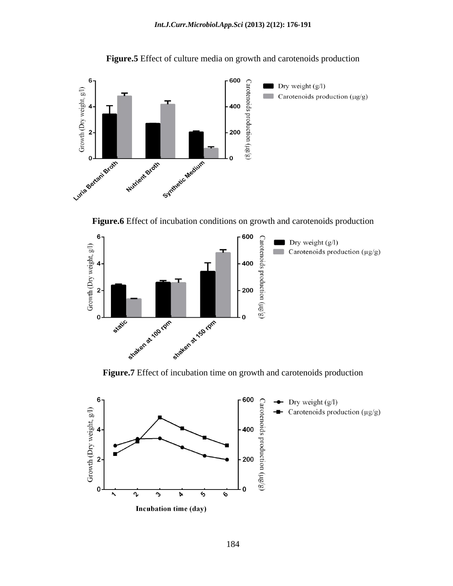



**Figure.6** Effect of incubation conditions on growth and carotenoids production



**Figure.7** Effect of incubation time on growth and carotenoids production

![](_page_8_Figure_6.jpeg)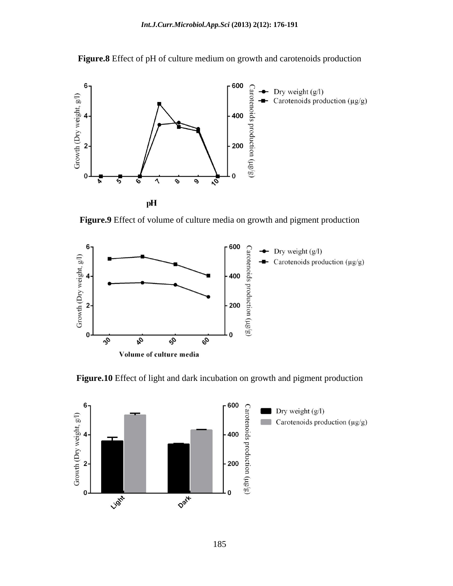![](_page_9_Figure_1.jpeg)

**Figure.8** Effect of pH of culture medium on growth and carotenoids production

**Figure.9** Effect of volume of culture media on growth and pigment production

![](_page_9_Figure_4.jpeg)

**Figure.10** Effect of light and dark incubation on growth and pigment production

![](_page_9_Figure_6.jpeg)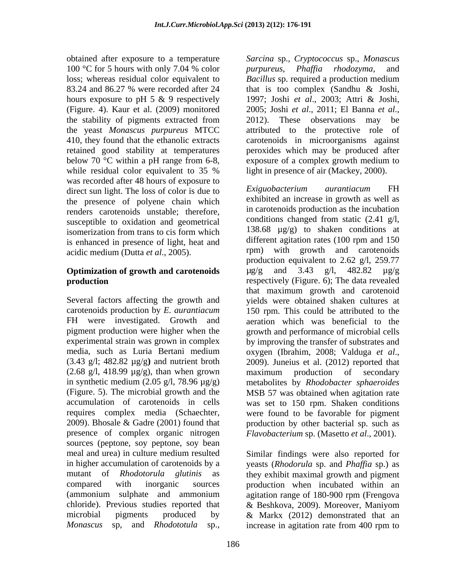100 °C for 5 hours with only 7.04 % color *purpureus*, *Phaffia rhodozyma*, and hours exposure to pH 5 & 9 respectively 1997; Joshi et al., 2003; Attri & Joshi, (Figure. 4). Kaur et al. (2009) monitored 2005; Joshi et al., 2011; El Banna et al., while residual color equivalent to 35 % light in presence of air (Mackey, 2000). was recorded after 48 hours of exposure to<br>direct sup light. The loss of color is due to <br>Exiguobacterium aurantiacum FH direct sun light. The loss of color is due to the presence of polyene chain which renders carotenoids unstable; therefore, susceptible to oxidation and geometrical is enhanced in presence of light, heat and<br>acidic medium (Dutta et al. 2005) code and the error with growth and carotenoids

media, such as Luria Bertani medium oxygen (Ibrahim, 2008; Valduga et al., (3.43 g/l; 482.82 µg/g**)** and nutrient broth  $(2.68 \text{ g/l}, 418.99 \text{ µg/g}),$  than when grown maximum production of secondary presence of complex organic nitrogen *Flavobacterium* sp. (Masetto *et al*., 2001). sources (peptone, soy peptone, soy bean chloride). Previous studies reported that & Beshkova, 2009). Moreover, Maniyom *Monascus* sp, and *Rhodototula* sp.,

obtained after exposure to a temperature *Sarcina* sp., *Cryptococcus* sp., *Monascus*  loss; whereas residual color equivalent to Bacillus sp. required a production medium 83.24 and 86.27 % were recorded after 24 that is too complex (Sandhu & Joshi, the stability of pigments extracted from 2012). These observations may be the yeast *Monascus purpureus* MTCC attributed to the protective role of 410, they found that the ethanolic extracts carotenoids in microorganisms against retained good stability at temperatures peroxides which may be produced after below 70 °C within a pH range from 6-8, exposure of a complex growth medium to *purpureus*, *Phaf ia rhodozyma*, and 1997; Joshi *et al*., 2003; Attri & Joshi, 2005; Joshi *et al*., 2011; El Banna *et al*., 2012). These observations may be light in presence of air (Mackey, 2000).

isomerization from trans to cis form which  $138.68 \mu g/g$  to shaken conditions at acidic medium (Dutta *et al*., 2005). **Optimization of growth and carotenoids**  $\mu$ g/g and 3.43 g/l, 482.82  $\mu$ g/g **production respectively** (Figure. 6); The data revealed Several factors affecting the growth and yields were obtained shaken cultures at carotenoids production by *E. aurantiacum* 150 rpm. This could be attributed to the FH were investigated. Growth and aeration which was beneficial to the pigment production were higher when the growth and performance of microbial cells experimental strain was grown in complex by improving the transfer of substrates and in synthetic medium (2.05 g/l, 78.96 µg/g) metabolites by *Rhodobacter sphaeroides* (Figure. 5). The microbial growth and the MSB 57 was obtained when agitation rate accumulation of carotenoids in cells was set to 150 rpm. Shaken conditions requires complex media (Schaechter, were found to be favorable for pigment 2009). Bhosale & Gadre (2001) found that production by other bacterial sp. such as *Exiguobacterium aurantiacum* FH exhibited an increase in growth as well as in carotenoids production as the incubation conditions changed from static (2.41 g/l, 138.68 µg/g) to shaken conditions at different agitation rates (100 rpm and 150 rpm) with growth and carotenoids production equivalent to 2.62 g/l, 259.77 µg/g and 3.43 g/l, 482.82 µg/g that maximum growth and carotenoid oxygen (Ibrahim, 2008; Valduga *et al*., 2009). Juneius et al. (2012) reported that maximum production of secondary

meal and urea) in culture medium resulted Similar findings were also reported for in higher accumulation of carotenoids by a yeasts (*Rhodorula* sp. and *Phaffia* sp.) as mutant of *Rhodotorula glutinis* as they exhibit maximal growth and pigment compared with inorganic sources production when incubated within an (ammonium sulphate and ammonium agitation range of 180-900 rpm (Frengova microbial pigments produced by & Markx (2012) demonstrated that an & Beshkova, 2009). Moreover, Maniyom increase in agitation rate from 400 rpm to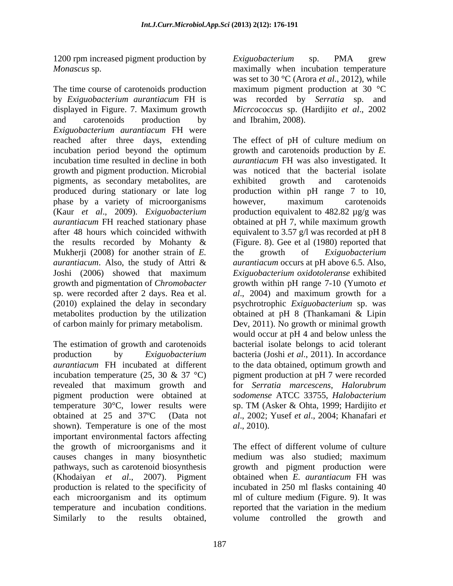The time course of carotenoids production maximum pigment production at 30 °C by *Exiguobacterium aurantiacum* FH is was recorded by *Serratia* sp. and displayed in Figure. 7. Maximum growth *Micrcococcus* sp. (Hardijito *et al*., 2002 and carotenoids production by and Ibrahim, 2008). *Exiguobacterium aurantiacum* FH were reached after three days, extending incubation period beyond the optimum growth and carotenoids production by *E.*  incubation time resulted in decline in both *aurantiacum* FH was also investigated. It growth and pigment production. Microbial pigments, as secondary metabolites, are produced during stationary or late log broduction within pH range 7 to 10, phase by a variety of microorganisms bowever, maximum carotenoids (Kaur *et al*., 2009). *Exiguobacterium*  production equivalent to 482.82 µg/g was *aurantiacum* FH reached stationary phase obtained at pH 7, while maximum growth after 48 hours which coincided withwith equivalent to 3.57 g/l was recorded at pH 8 the results recorded by Mohanty  $\&$  (Figure. 8). Gee et al (1980) reported that Mukherji (2008) for another strain of *E*. the growth of *Exiguobacterium aurantiacum*. Also, the study of Attri & *aurantiacum* occurs at pH above 6.5. Also, Joshi (2006) showed that maximum *Exiguobacterium oxidotoleranse* exhibited growth and pigmentation of *Chromobacter* growth within pH range 7-10 (Yumoto *et*  sp. were recorded after 2 days. Rea et al. *al*., 2004) and maximum growth for a (2010) explained the delay in secondary psychrotrophic *Exiguobacterium* sp. was metabolites production by the utilization obtained at pH 8 (Thankamani & Lipin of carbon mainly for primary metabolism. Dev, 2011). No growth or minimal growth

The estimation of growth and carotenoids production by *Exiguobacterium*  bacteria (Joshi *et al*., 2011). In accordance *aurantiacum* FH incubated at different to the data obtained, optimum growth and incubation temperature (25, 30 & 37 °C) pigment production at pH 7 were recorded revealed that maximum growth and for Serratia marcescens, Halorubrum pigment production were obtained at *sodomense* ATCC 33755, Halobacterium temperature 30°C, lower results were sp. TM (Asker & Ohta, 1999; Hardijito *et*  obtained at 25 and 37ºC (Data not *al*., 2002; Yusef *et al*., 2004; Khanafari *et*  shown). Temperature is one of the most al., 2010). important environmental factors affecting the growth of microorganisms and it causes changes in many biosynthetic pathways, such as carotenoid biosynthesis growth and pigment production were (Khodaiyan *et al*., 2007). Pigment obtained when *E. aurantiacum* FH was production is related to the specificity of each microorganism and its optimum ml of culture medium (Figure. 9). It was temperature and incubation conditions. The reported that the variation in the medium

1200 rpm increased pigment production by Exiguobacterium sp. PMA grew *Monascus* sp. maximally when incubation temperature was set to 30 °C (Arora *et al*., 2012), while and Ibrahim, 2008).

1900 mointenessed pigenon production by  $\frac{1}{2}$  range obtained in the results of the results of the results of the results of the results of the results of the results of the results of the results of the results of the The effect of pH of culture medium on was noticed that the bacterial isolate exhibited growth and carotenoids however, maximum carotenoids the growth of *Exiguobacterium*  would occur at pH 4 and below unless the bacterial isolate belongs to acid tolerant for *Serratia marcescens*, *Halorubrum sodomense* ATCC 33755, *Halobacterium al*., 2010).

reported that the variation in the medium The effect of different volume of culture medium was also studied; maximum incubated in 250 ml flasks containing 40 ml of culture medium (Figure. 9). It was reported that the variation in the medium volume controlled the growth and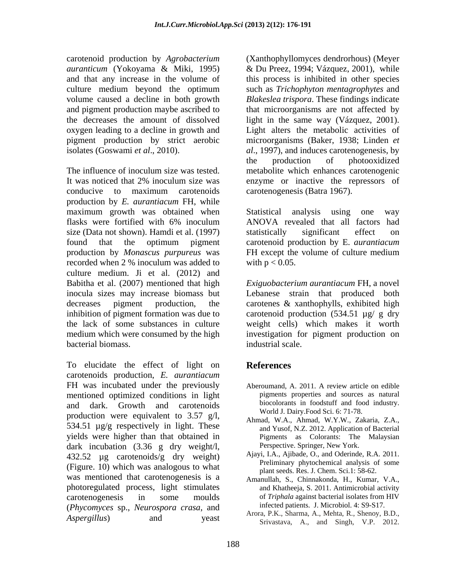The influence of inoculum size was tested. metabolite which enhances carotenogenic It was noticed that 2% inoculum size was enzyme or inactive the repressors of conducive to maximum carotenoids carotenogenesis (Batra 1967). production by *E. aurantiacum* FH, while maximum growth was obtained when Statistical analysis using one way flasks were fortified with 6% inoculum size (Data not shown). Hamdi et al. (1997) statistically significant effect on found that the optimum pigment carotenoid production by E. *aurantiacum* production by *Monascus purpureus* was FH except the volume of culture medium recorded when 2 % inoculum was added to culture medium. Ji et al. (2012) and Babitha et al. (2007) mentioned that high inocula sizes may increase biomass but Lebanese strain that produced both decreases pigment production, the carotenes & xanthophylls, exhibited high inhibition of pigment formation was due to carotenoid production (534.51 µg/ g dry the lack of some substances in culture weight cells) which makes it worth medium which were consumed by the high investigation for pigment production on bacterial biomass.

To elucidate the effect of light on **References** carotenoids production, *E. aurantiacum* FH was incubated under the previously mentioned optimized conditions in light and dark. Growth and carotenoids blocoloriants in toodstuff and food industry. production were equivalent to 3.57 g/l, 534.51  $\mu$ g/g respectively in light. These yields were higher than that obtained in dark incubation (3.36 g dry weight/l, 432.52 µg carotenoids/g dry weight) (Figure. 10) which was analogous to what was mentioned that carotenogenesis is a photoregulated process, light stimulates carotenogenesis in some moulds of *Triphala* against bacterial isolates from HIV (*Phycomyces* sp., *Neurospora crasa*, and

carotenoid production by *Agrobacterium*  (Xanthophyllomyces dendrorhous) (Meyer *auranticum* (Yokoyama & Miki, 1995) & Du Preez, 1994; Vázquez, 2001), while and that any increase in the volume of this process is inhibited in other species culture medium beyond the optimum such as *Trichophyton mentagrophytes* and volume caused a decline in both growth *Blakeslea trispora*. These findings indicate and pigment production maybe ascribed to that microorganisms are not affected by the decreases the amount of dissolved light in the same way (Vázquez, 2001). oxygen leading to a decline in growth and Light alters the metabolic activities of pigment production by strict aerobic microorganisms (Baker, 1938; Linden *et*  isolates (Goswami *et al*., 2010). *al*., 1997), and induces carotenogenesis, by the production of photooxidized enzyme or inactive the repressors of carotenogenesis (Batra 1967).

> Statistical analysis using ANOVA revealed that all factors had statistically significant effect on with  $p < 0.05$ .

*Exiguobacterium aurantiacum* FH, a novel industrial scale.

# **References**

- Aberoumand, A. 2011. A review article on edible pigments properties and sources as natural biocolorants in foodstuff and food industry. World J. Dairy.Food Sci. 6: 71-78.
- Ahmad, W.A., Ahmad, W.Y.W., Zakaria, Z.A., and Yusof, N.Z. 2012. Application of Bacterial Pigments as Colorants: The Malaysian Perspective. Springer, New York.
- Ajayi, I.A., Ajibade, O., and Oderinde, R.A. 2011. Preliminary phytochemical analysis of some plant seeds. Res. J. Chem. Sci.1: 58-62.
- Amanullah, S., Chinnakonda, H., Kumar, V.A., and Khatheeja, S. 2011. Antimicrobial activity infected patients. J. Microbiol. 4: S9-S17.
- *Aspergillus*) and yeast *Alvia, F.K., Shahna, A., Melia, K., Shenoy, D.D.*, Arora, P.K., Sharma, A., Mehta, R., Shenoy, B.D., Srivastava, A., and Singh, V.P. 2012.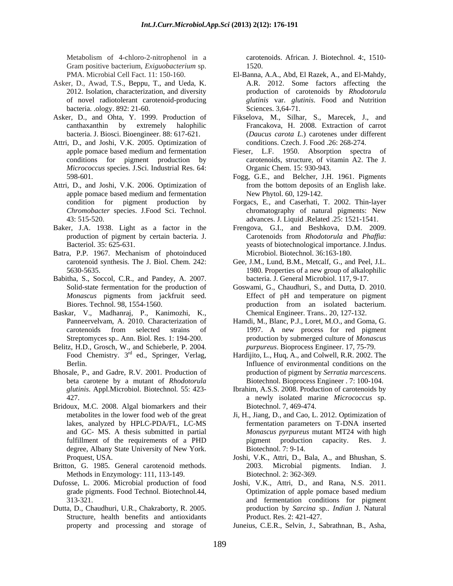Gram positive bacterium, *Exiguobacterium* sp.

- Asker, D., Awad, T.S., Beppu, T., and Ueda, K. bacteria. .ology. 892: 21-60.
- Asker, D., and Ohta, Y. 1999. Production of Fikselova, M., Silhar, S., Marecek, J., and
- Attri, D., and Joshi, V.K. 2005. Optimization of *Micrococcus* species. J.Sci. Industrial Res. 64:
- Attri, D., and Joshi, V.K. 2006. Optimization of from the bottom deposits of an English lake.
- production of pigment by certain bacteria. J.
- Batra, P.P. 1967. Mechanism of photoinduced
- Babitha, S., Soccol, C.R., and Pandey, A. 2007.
- Baskar, V., Madhanraj, P., Kanimozhi, K., Panneervelvam, A. 2010. Characterization of
- Belitz, H.D., Grosch, W., and Schieberle, P. 2004.<br>Food Chemistry.  $3^{\text{rd}}$  ed., Springer, Verlag, Food Chemistry. 3<sup>rd</sup> ed., Springer, Verlag, Hardijito, L., Huq, A., and Colwell, R.R. 2002. The
- Bhosale, P., and Gadre, R.V. 2001. Production of production of pigment by *Serratia marcescens*.<br>
beta carotene by a mutant of *Rhodotorula* Biotechnol. Bioprocess Engineer . 7: 100-104.
- Bridoux, M.C. 2008. Algal biomarkers and their degree, Albany State University of New York. Biotechnol. 7: 9-14.
- Methods in Enzymology: 111, 113-149.
- Dufosse, L. 2006. Microbial production of food Joshi, V.K., Attri, D., and Rana, N.S. 2011.
- Dutta, D., Chaudhuri, U.R., Chakraborty, R. 2005. Structure, health benefits and antioxidants

Metabolism of 4-chloro-2-nitrophenol in a carotenoids. African. J. Biotechnol. 4:, 1510- 1520.

- PMA. Microbial Cell Fact. 11: 150-160. El-Banna, A.A., Abd, El Razek, A., and El-Mahdy, 2012. Isolation, characterization, and diversity production of carotenoids by *Rhodotorula*  of novel radiotolerant carotenoid-producing *glutinis* var. *glutinis*. Food and Nutrition A.R. 2012. Some factors affecting the Sciences. 3,64-71.
- canthaxanthin by extremely halophilic Francakova, H. 2008. Extraction of carrot bacteria. J. Biosci. Bioengineer. 88: 617-621. (*Daucus carota L*.) carotenes under different conditions. Czech. J. Food .26: 268-274.
- apple pomace based medium and fermentation Fieser, L.F. 1950. Absorption spectra of conditions for pigment production by carotenoids, structure, of vitamin A2. The J. Organic Chem. 15: 930-943.
- 598-601. Fogg, G.E., and Belcher, J.H. 1961. Pigments apple pomace based medium and fermentation New Phytol. 60, 129-142. from the bottom deposits of an English lake. New Phytol. 60, 129-142.
- condition for pigment production by Forgacs, E., and Caserhati, T. 2002. Thin-layer *Chromobacter* species. J.Food Sci. Technol. 43: 515-520. advances. J. Liquid .Related .25: 1521-1541. chromatography of natural pigments: New
- Baker, J.A. 1938. Light as a factor in the Frengova, G.I., and Beshkova, D.M. 2009. Bacteriol. 35: 625-631. yeasts of biotechnological importance. J.Indus. Carotenoids from *Rhodotorula* and *Phaffia*: Microbiol. Biotechnol. 36:163-180.
	- carotenoid synthesis. The J. Biol. Chem. 242: Gee, J.M., Lund, B.M., Metcalf, G., and Peel, J.L. 5630-5635. 1980. Properties of a new group of alkalophilic bacteria. J. General Microbiol. 117, 9-17.
	- Solid-state fermentation for the production of Goswami, G., Chaudhuri, S., and Dutta, D. 2010. *Monascus* pigments from jackfruit seed. Effect of pH and temperature on pigment Biores. Technol. 98, 1554-1560. The production from an isolated bacterium. production from an isolated bacterium. Chemical Engineer. Trans.. 20, 127-132.
	- Panneervelvam, A. 2010. Characterization of Hamdi, M., Blanc, P.J., Loret, M.O., and Goma, G. carotenoids from selected strains of 1997. A new process for red pigment Streptomyces sp.. Ann. Biol. Res. 1: 194-200. production by submerged culture of *Monascus purpureus*. Bioprocess Engineer. 17, 75-79.
	- Berlin. **Influence of environmental conditions on the** beta carotene by a mutant of *Rhodotorula*
	- *glutinis*. Appl.Microbiol. Biotechnol. 55: 423- Ibrahim, A.S.S. 2008. Production of carotenoids by 427. a newly isolated marine *Micrococcus* sp. Biotechnol. 7, 469-474.
	- metabolites in the lower food web of the great Ji, H., Jiang, D., and Cao, L. 2012. Optimization of lakes, analyzed by HPLC-PDA/FL, LC-MS fermentation parameters on T-DNA inserted and GC- MS. A thesis submitted in partial *Monascus pyrpureus* mutant MT24 with high fulfillment of the requirements of a PHD pigment production capacity. Res. J. pigment production capacity. Res. J. Biotechnol. 7: 9-14.
- Proquest, USA. Joshi, V.K., Attri, D., Bala, A., and Bhushan, S. Britton, G. 1985. General carotenoid methods. 2003. Microbial pigments. Indian. J. Biotechnol. 2: 362-369.
	- grade pigments. Food Technol. Biotechnol.44, Optimization of apple pomace based medium 313-321. and fermentation conditions for pigment production by *Sarcina* sp.. *Indian* J. Natural Product. Res. 2: 421-427.
	- property and processing and storage of Juneius, C.E.R., Selvin, J., Sabrathnan, B., Asha,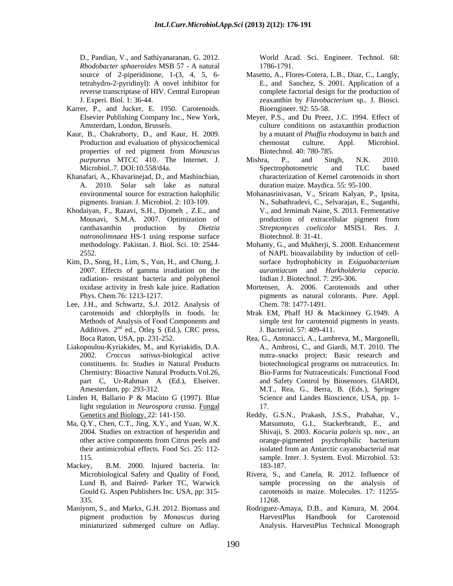*Rhodobacter sphaeroides* MSB 57 - A natural

- Karrer, P., and Jucker, E. 1950. Carotenoids.
- Kaur, B., Chakraborty, D., and Kaur, H. 2009. properties of red pigment from *Monascus purpureus* MTCC 410. The Internet. J.
- Khanafari, A., Khavarinejad, D., and Mashinchian, A. 2010. Solar salt lake as natural
- Mousavi, S.M.A. 2007. Optimization of *natronolimnaea* HS-1 using response surface
- Kim, D., Song, H., Lim, S., Yun, H., and Chung, J. radiation- resistant bacteria and polyphenol and I. Biotechnol. 7: 295-306.
- Lee, J.H., and Schwartz, S.J. 2012. Analysis of Additives.  $2<sup>nd</sup>$  ed., Ötles S (Ed.), CRC press,
- Liakopoulou-Kyriakides, M., and Kyriakidis, D.A. Chemistry: Bioactive Natural Products.Vol.26,
- Linden H, Ballario P & Macino G (1997). Blue light regulation in *Neurospora crassa*. Fungal
- Ma, Q.Y., Chen, C.T., Jing, X.Y., and Yuan, W.X.
- Mackey, B.M. 2000. Injured bacteria. In: 183-187.
- 

D., Pandian, V., and Sathiyanaranan, G. 2012. 1786-1791.

- source of 2-piperidinone, 1-(3, 4, 5, 6- Masetto, A., Flores-Cotera, L.B., Diaz, C., Langly, tetrahydro-2-pyridinyl): A novel inhibitor for E., and Sanchez, S. 2001. Application of a reverse transcriptase of HIV. Central European complete factorial design for the production of J. Experi. Biol. 1: 36-44. zeaxanthin by *Flavobacterium* sp.. J. Biosci. Bioengineer. 92: 55-58.
- Elsevier Publishing Company Inc., New York, Meyer, P.S., and Du Preez, J.C. 1994. Effect of Amsterdam, London, Brussels. culture conditions on astaxanthin production Production and evaluation of physicochemical chemostat culture. Appl. Microbiol. by a mutant of *Phaffia rhodozyma* in batch and chemostat culture. Appl. Microbiol. Biotechnol. 40: 780-785.
- Microbiol..7. DOI:10.558/d4a. Spectrophotometric and TLC based Mishra, P., and Singh, N.K. 2010. Spectrophotometric and TLC based characterization of Kernel carotenoids in short duration maize. Maydica. 55: 95-100.
- environmental source for extraction halophilic Mohanasrinivasan, V., Sriram Kalyan, P., Ipsita, pigments. Iranian. J. Microbiol. 2: 103-109. N., Subathradevi, C., Selvarajan, E., Suganthi, Khodaiyan, F., Razavi, S.H., Djomeh , Z.E., and <br>Mousavi, S.M.A. 2007. Optimization of <br>Production of extracellular pigment from canthaxanthin production by *Dietzia Streptomyces coelicolor* MSIS1. Res. J. V., and Jemimah Naine, S. 2013. Fermentative production of extracellular pigment from Biotechnol. 8: 31-41.
	- methodology. Pakistan. J. Biol. Sci. 10: 2544- Mohanty, G., and Mukherji, S. 2008. Enhancement 2552. of NAPL bioavailability by induction of cell- 2007. Effects of gamma irradiation on the *aurantiacum* and *Hurkholderia cepacia*. surface hydrophobicity in *Exiguobacterium aurantiacum* and *Hurkholderia cepacia*. Indian J. Biotechnol. 7: 295-306.
	- oxidase activity in fresh kale juice. Radiation Mortensen, A. 2006. Carotenoids and other Phys. Chem.76: 1213-1217. pigments as natural colorants. Pure. Appl. Chem. 78: 1477-1491.
	- carotenoids and chlorphylls in foods. In: Mrak EM, Phaff HJ & Mackinney G.1949. A Methods of Analysis of Food Components and simple test for carotenoid pigments in yeasts. nd ed., Ötleş S (Ed.), CRC press, J. Bacteriol. 57: 409-411. J. Bacteriol. 57: 409-411.
- Boca Raton, USA, pp. 231-252. Rea, G., Antonacci, A., Lambreva, M., Margonelli, 2002. *Croccus sativus*-biological active nutra snacks project: Basic research and constituents. In: Studies in Natural Products biotechnological programs on nutraceutics. In: part C, Ur-Rahman A (Ed.), Elseiver. and Safety Control by Biosensors. GIARDI, Amesterdam, pp: 293-312. M.T., Rea, G., Berra, B. (Eds.), Springer D. Photos, C. and Submerged culture of the submerged culture of the submerged culture of the submerged culture of the submerged culture of the submerged culture of the submerged culture of the submerged culture of the sub A., Ambrosi, C., and Giardi, M.T. 2010. The Bio-Farms for Nutraceuticals: Functional Food Science and Landes Bioscience, USA, pp. 1- 17.
	- Genetics and Biology. 22: 141-150. Reddy, G.S.N., Prakash, J.S.S., Prabahar, V., 2004. Studies on extraction of hesperidin and Shivaji, S. 2003. *Kocuria polaris* sp. nov., an other active components from Citrus peels and their antimicrobial effects. Food Sci. 25: 112- 115. sample. Inter. J. System. Evol. Microbiol. 53: Matsumoto, G.I., Stackerbrandt, E., and orange-pigmented psychrophilic bacterium isolated from an Antarctic cayanobacterial mat 183-187.
	- Microbiological Safety and Quality of Food, Rivera, S., and Canela, R. 2012. Influence of Lund B, and Baired- Parker TC, Warwick sample processing on the analysis of Gould G. Aspen Publishers Inc. USA, pp: 315- carotenoids in maize. Molecules. 17: 11255- $335.$   $11268.$ 11268.
- Maniyom, S., and Markx, G.H. 2012. Biomass and Rodriguez-Amaya, D.B., and Kimura, M. 2004. pigment production by *Monascus* during HarvestPlus Handbook for Carotenoid Analysis. HarvestPlus Technical Monograph